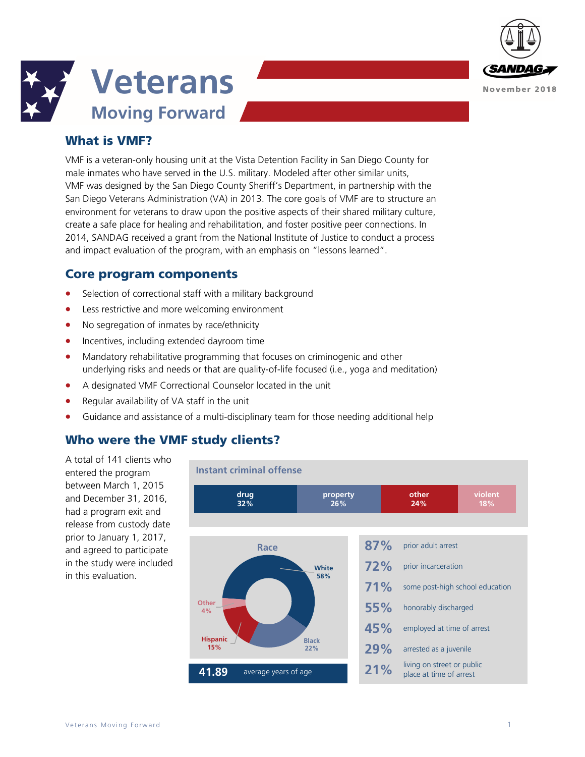



# What is VMF?

VMF is a veteran-only housing unit at the Vista Detention Facility in San Diego County for male inmates who have served in the U.S. military. Modeled after other similar units, VMF was designed by the San Diego County Sheriff's Department, in partnership with the San Diego Veterans Administration (VA) in 2013. The core goals of VMF are to structure an environment for veterans to draw upon the positive aspects of their shared military culture, create a safe place for healing and rehabilitation, and foster positive peer connections. In 2014, SANDAG received a grant from the National Institute of Justice to conduct a process and impact evaluation of the program, with an emphasis on "lessons learned".

### Core program components

- Selection of correctional staff with a military background
- Less restrictive and more welcoming environment
- No segregation of inmates by race/ethnicity
- Incentives, including extended dayroom time
- Mandatory rehabilitative programming that focuses on criminogenic and other underlying risks and needs or that are quality-of-life focused (i.e., yoga and meditation)
- A designated VMF Correctional Counselor located in the unit
- Regular availability of VA staff in the unit
- Guidance and assistance of a multi-disciplinary team for those needing additional help

# Who were the VMF study clients?

A total of 141 clients who entered the program between March 1, 2015 and December 31, 2016, had a program exit and release from custody date prior to January 1, 2017, and agreed to participate in the study were included in this evaluation.

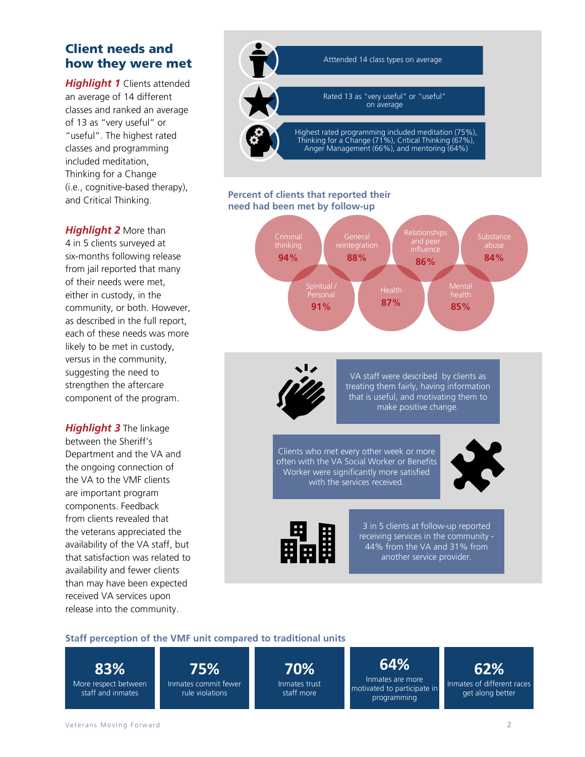## Client needs and how they were met

*Highlight 1* Clients attended an average of 14 different classes and ranked an average of 13 as "very useful" or "useful". The highest rated classes and programming included meditation, Thinking for a Change (i.e., cognitive-based therapy), and Critical Thinking.

*Highlight 2* More than 4 in 5 clients surveyed at six-months following release from jail reported that many of their needs were met, either in custody, in the community, or both. However, as described in the full report, each of these needs was more likely to be met in custody, versus in the community, suggesting the need to strengthen the aftercare component of the program.

*Highlight 3* The linkage between the Sheriff's Department and the VA and the ongoing connection of the VA to the VMF clients are important program components. Feedback from clients revealed that the veterans appreciated the availability of the VA staff, but that satisfaction was related to availability and fewer clients than may have been expected received VA services upon release into the community.



#### **Percent of clients that reported their need had been met by follow-up**





VA staff were described by clients as treating them fairly, having information that is useful, and motivating them to make positive change.

Clients who met every other week or more often with the VA Social Worker or Benefits Worker were significantly more satisfied with the services received.



3 in 5 clients at follow-up reported receiving services in the community - 44% from the VA and 31% from another service provider.

### **Staff perception of the VMF unit compared to traditional units**

**83%** More respect between staff and inmates

**75%** Inmates commit fewer rule violations

**70%** Inmates trust staff more

**64%** Inmates are more motivated to participate in programming

**62%** Inmates of different races get along better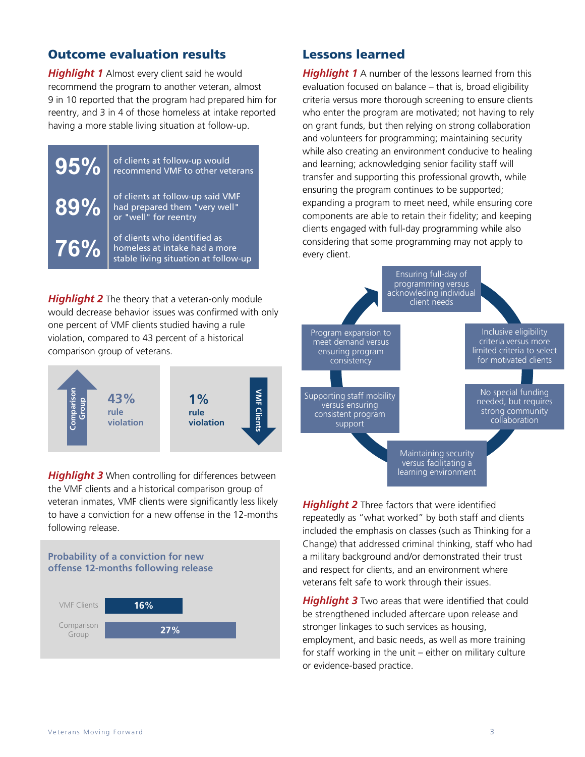## Outcome evaluation results

*Highlight 1* Almost every client said he would recommend the program to another veteran, almost 9 in 10 reported that the program had prepared him for reentry, and 3 in 4 of those homeless at intake reported having a more stable living situation at follow-up.



**Highlight 2** The theory that a veteran-only module would decrease behavior issues was confirmed with only one percent of VMF clients studied having a rule violation, compared to 43 percent of a historical comparison group of veterans.



**Highlight 3** When controlling for differences between the VMF clients and a historical comparison group of veteran inmates, VMF clients were significantly less likely to have a conviction for a new offense in the 12-months following release.

#### **Probability of a conviction for new offense 12-months following release**



### Lessons learned

**Highlight 1** A number of the lessons learned from this evaluation focused on balance – that is, broad eligibility criteria versus more thorough screening to ensure clients who enter the program are motivated; not having to rely on grant funds, but then relying on strong collaboration and volunteers for programming; maintaining security while also creating an environment conducive to healing and learning; acknowledging senior facility staff will transfer and supporting this professional growth, while ensuring the program continues to be supported; expanding a program to meet need, while ensuring core components are able to retain their fidelity; and keeping clients engaged with full-day programming while also considering that some programming may not apply to every client.



**Highlight 2** Three factors that were identified repeatedly as "what worked" by both staff and clients included the emphasis on classes (such as Thinking for a Change) that addressed criminal thinking, staff who had a military background and/or demonstrated their trust and respect for clients, and an environment where veterans felt safe to work through their issues.

**Highlight 3** Two areas that were identified that could be strengthened included aftercare upon release and stronger linkages to such services as housing, employment, and basic needs, as well as more training for staff working in the unit – either on military culture or evidence-based practice.